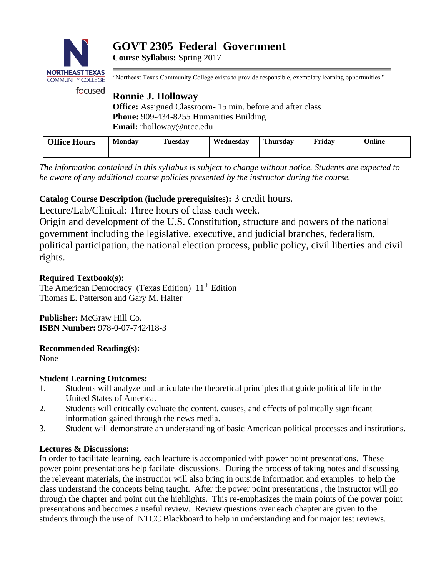

**Course Syllabus:** Spring 2017

"Northeast Texas Community College exists to provide responsible, exemplary learning opportunities."

# **Ronnie J. Holloway**

**Office:** Assigned Classroom- 15 min. before and after class **Phone:** 909-434-8255 Humanities Building **Email:** rholloway@ntcc.edu

| <b>Office Hours</b> | <b>Monday</b> | . .<br>Tuesdav | Wednesdav | <b>Thursday</b> | <b>Fridav</b> | <b>Online</b> |
|---------------------|---------------|----------------|-----------|-----------------|---------------|---------------|
|                     |               |                |           |                 |               |               |

*The information contained in this syllabus is subject to change without notice. Students are expected to be aware of any additional course policies presented by the instructor during the course.*

## **Catalog Course Description (include prerequisites):** 3 credit hours.

Lecture/Lab/Clinical: Three hours of class each week.

Origin and development of the U.S. Constitution, structure and powers of the national government including the legislative, executive, and judicial branches, federalism, political participation, the national election process, public policy, civil liberties and civil rights.

## **Required Textbook(s):**

The American Democracy (Texas Edition) 11<sup>th</sup> Edition Thomas E. Patterson and Gary M. Halter

**Publisher:** McGraw Hill Co. **ISBN Number:** 978-0-07-742418-3

## **Recommended Reading(s):**

None

## **Student Learning Outcomes:**

- 1. Students will analyze and articulate the theoretical principles that guide political life in the United States of America.
- 2. Students will critically evaluate the content, causes, and effects of politically significant information gained through the news media.
- 3. Student will demonstrate an understanding of basic American political processes and institutions.

## **Lectures & Discussions:**

In order to facilitate learning, each leacture is accompanied with power point presentations. These power point presentations help facilate discussions. During the process of taking notes and discussing the releveant materials, the instructior will also bring in outside information and examples to help the class understand the concepts being taught. After the power point presentations , the instructor will go through the chapter and point out the highlights. This re-emphasizes the main points of the power point presentations and becomes a useful review. Review questions over each chapter are given to the students through the use of NTCC Blackboard to help in understanding and for major test reviews.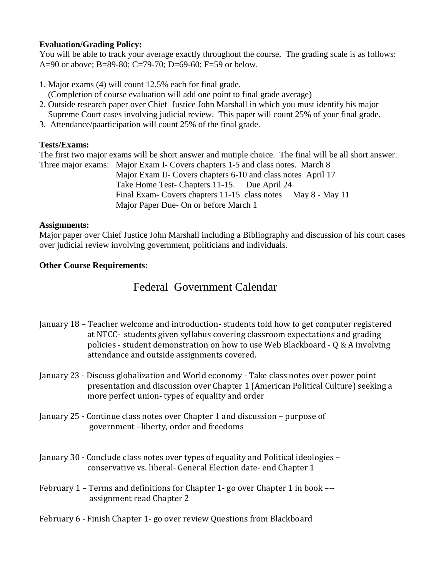## **Evaluation/Grading Policy:**

You will be able to track your average exactly throughout the course. The grading scale is as follows: A=90 or above; B=89-80; C=79-70; D=69-60; F=59 or below.

- 1. Major exams (4) will count 12.5% each for final grade.
- (Completion of course evaluation will add one point to final grade average)
- 2. Outside research paper over Chief Justice John Marshall in which you must identify his major Supreme Court cases involving judicial review. This paper will count 25% of your final grade.
- 3. Attendance/paarticipation will count 25% of the final grade.

## **Tests/Exams:**

The first two major exams will be short answer and mutiple choice. The final will be all short answer. Three major exams: Major Exam I- Covers chapters 1-5 and class notes. March 8

 Major Exam II- Covers chapters 6-10 and class notes April 17 Take Home Test- Chapters 11-15. Due April 24 Final Exam- Covers chapters 11-15 class notes May 8 - May 11 Major Paper Due- On or before March 1

## **Assignments:**

Major paper over Chief Justice John Marshall including a Bibliography and discussion of his court cases over judicial review involving government, politicians and individuals.

## **Other Course Requirements:**

## Federal Government Calendar

- January 18 Teacher welcome and introduction- students told how to get computer registered at NTCC- students given syllabus covering classroom expectations and grading policies - student demonstration on how to use Web Blackboard - Q & A involving attendance and outside assignments covered.
- January 23 Discuss globalization and World economy Take class notes over power point presentation and discussion over Chapter 1 (American Political Culture) seeking a more perfect union- types of equality and order
- January 25 Continue class notes over Chapter 1 and discussion purpose of government –liberty, order and freedoms
- January 30 Conclude class notes over types of equality and Political ideologies conservative vs. liberal- General Election date- end Chapter 1
- February 1 Terms and definitions for Chapter 1- go over Chapter 1 in book –- assignment read Chapter 2
- February 6 Finish Chapter 1- go over review Questions from Blackboard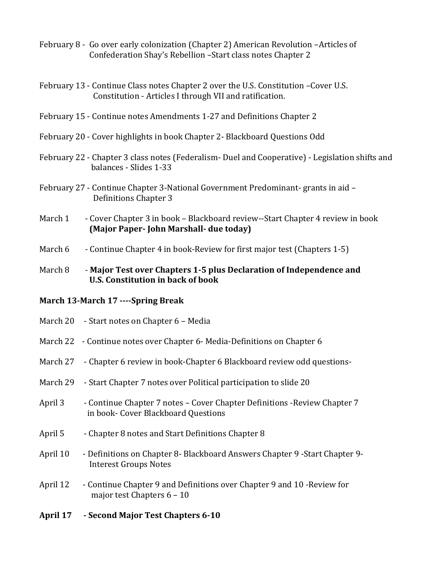- February 8 Go over early colonization (Chapter 2) American Revolution –Articles of Confederation Shay's Rebellion –Start class notes Chapter 2
- February 13 Continue Class notes Chapter 2 over the U.S. Constitution –Cover U.S. Constitution - Articles I through VII and ratification.
- February 15 Continue notes Amendments 1-27 and Definitions Chapter 2
- February 20 Cover highlights in book Chapter 2- Blackboard Questions Odd
- February 22 Chapter 3 class notes (Federalism- Duel and Cooperative) Legislation shifts and balances - Slides 1-33
- February 27 Continue Chapter 3-National Government Predominant- grants in aid Definitions Chapter 3
- March 1 Cover Chapter 3 in book Blackboard review--Start Chapter 4 review in book **(Major Paper- John Marshall- due today)**
- March 6 Continue Chapter 4 in book-Review for first major test (Chapters 1-5)

### March 8 - **Major Test over Chapters 1-5 plus Declaration of Independence and U.S. Constitution in back of book**

### **March 13-March 17 ----Spring Break**

| April 17 | - Second Major Test Chapters 6-10                                                                                |
|----------|------------------------------------------------------------------------------------------------------------------|
| April 12 | - Continue Chapter 9 and Definitions over Chapter 9 and 10 - Review for<br>major test Chapters 6 - 10            |
| April 10 | - Definitions on Chapter 8- Blackboard Answers Chapter 9 - Start Chapter 9-<br><b>Interest Groups Notes</b>      |
| April 5  | - Chapter 8 notes and Start Definitions Chapter 8                                                                |
| April 3  | - Continue Chapter 7 notes - Cover Chapter Definitions - Review Chapter 7<br>in book- Cover Blackboard Questions |
| March 29 | - Start Chapter 7 notes over Political participation to slide 20                                                 |
| March 27 | - Chapter 6 review in book-Chapter 6 Blackboard review odd questions-                                            |
|          | March 22 - Continue notes over Chapter 6- Media-Definitions on Chapter 6                                         |
|          | March 20 - Start notes on Chapter 6 - Media                                                                      |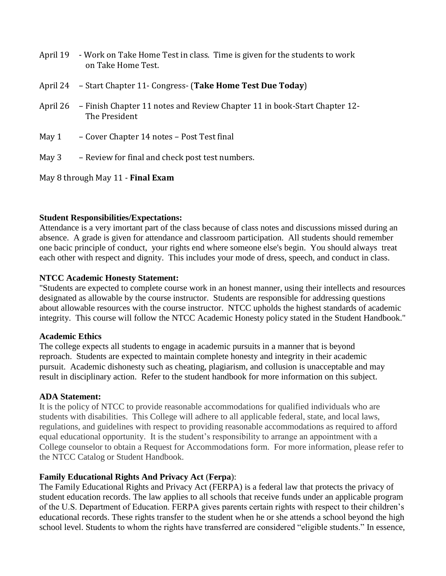- April 19 Work on Take Home Test in class. Time is given for the students to work on Take Home Test.
- April 24 Start Chapter 11- Congress- (**Take Home Test Due Today**)
- April 26 Finish Chapter 11 notes and Review Chapter 11 in book-Start Chapter 12- The President
- May 1 Cover Chapter 14 notes Post Test final
- May 3 Review for final and check post test numbers.

May 8 through May 11 - **Final Exam**

### **Student Responsibilities/Expectations:**

Attendance is a very imortant part of the class because of class notes and discussions missed during an absence. A grade is given for attendance and classroom participation. All students should remember one bacic principle of conduct, your rights end where someone else's begin. You should always treat each other with respect and dignity. This includes your mode of dress, speech, and conduct in class.

### **NTCC Academic Honesty Statement:**

"Students are expected to complete course work in an honest manner, using their intellects and resources designated as allowable by the course instructor. Students are responsible for addressing questions about allowable resources with the course instructor. NTCC upholds the highest standards of academic integrity. This course will follow the NTCC Academic Honesty policy stated in the Student Handbook."

### **Academic Ethics**

The college expects all students to engage in academic pursuits in a manner that is beyond reproach. Students are expected to maintain complete honesty and integrity in their academic pursuit. Academic dishonesty such as cheating, plagiarism, and collusion is unacceptable and may result in disciplinary action. Refer to the student handbook for more information on this subject.

### **ADA Statement:**

It is the policy of NTCC to provide reasonable accommodations for qualified individuals who are students with disabilities. This College will adhere to all applicable federal, state, and local laws, regulations, and guidelines with respect to providing reasonable accommodations as required to afford equal educational opportunity. It is the student's responsibility to arrange an appointment with a College counselor to obtain a Request for Accommodations form. For more information, please refer to the NTCC Catalog or Student Handbook.

## **Family Educational Rights And Privacy Act** (**Ferpa**):

The Family Educational Rights and Privacy Act (FERPA) is a federal law that protects the privacy of student education records. The law applies to all schools that receive funds under an applicable program of the U.S. Department of Education. FERPA gives parents certain rights with respect to their children's educational records. These rights transfer to the student when he or she attends a school beyond the high school level. Students to whom the rights have transferred are considered "eligible students." In essence,